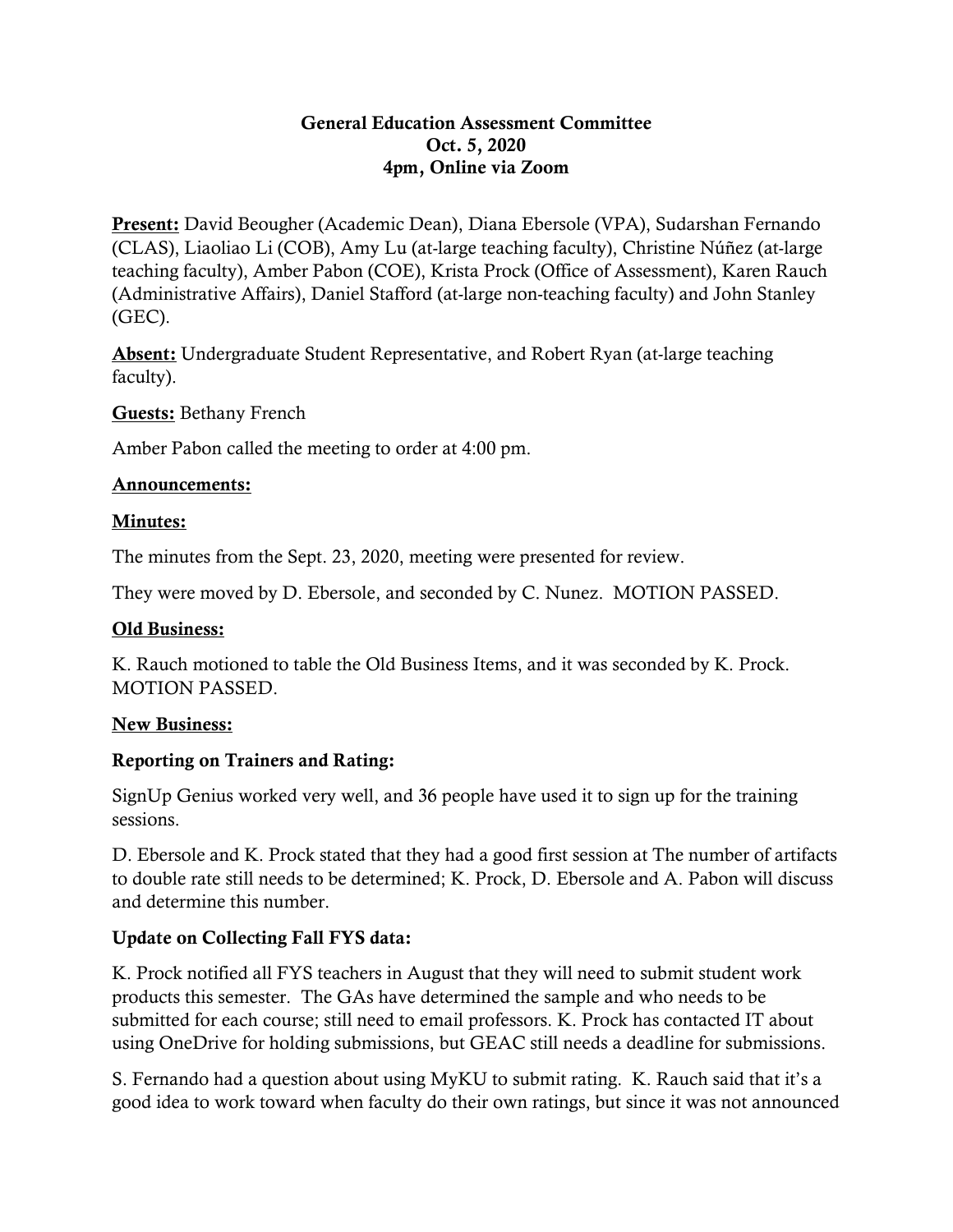#### General Education Assessment Committee Oct. 5, 2020 4pm, Online via Zoom

Present: David Beougher (Academic Dean), Diana Ebersole (VPA), Sudarshan Fernando (CLAS), Liaoliao Li (COB), Amy Lu (at-large teaching faculty), Christine Núñez (at-large teaching faculty), Amber Pabon (COE), Krista Prock (Office of Assessment), Karen Rauch (Administrative Affairs), Daniel Stafford (at-large non-teaching faculty) and John Stanley (GEC).

Absent: Undergraduate Student Representative, and Robert Ryan (at-large teaching faculty).

Guests: Bethany French

Amber Pabon called the meeting to order at 4:00 pm.

## Announcements:

## Minutes:

The minutes from the Sept. 23, 2020, meeting were presented for review.

They were moved by D. Ebersole, and seconded by C. Nunez. MOTION PASSED.

# Old Business:

K. Rauch motioned to table the Old Business Items, and it was seconded by K. Prock. MOTION PASSED.

#### New Business:

# Reporting on Trainers and Rating:

SignUp Genius worked very well, and 36 people have used it to sign up for the training sessions.

D. Ebersole and K. Prock stated that they had a good first session at The number of artifacts to double rate still needs to be determined; K. Prock, D. Ebersole and A. Pabon will discuss and determine this number.

# Update on Collecting Fall FYS data:

K. Prock notified all FYS teachers in August that they will need to submit student work products this semester. The GAs have determined the sample and who needs to be submitted for each course; still need to email professors. K. Prock has contacted IT about using OneDrive for holding submissions, but GEAC still needs a deadline for submissions.

S. Fernando had a question about using MyKU to submit rating. K. Rauch said that it's a good idea to work toward when faculty do their own ratings, but since it was not announced